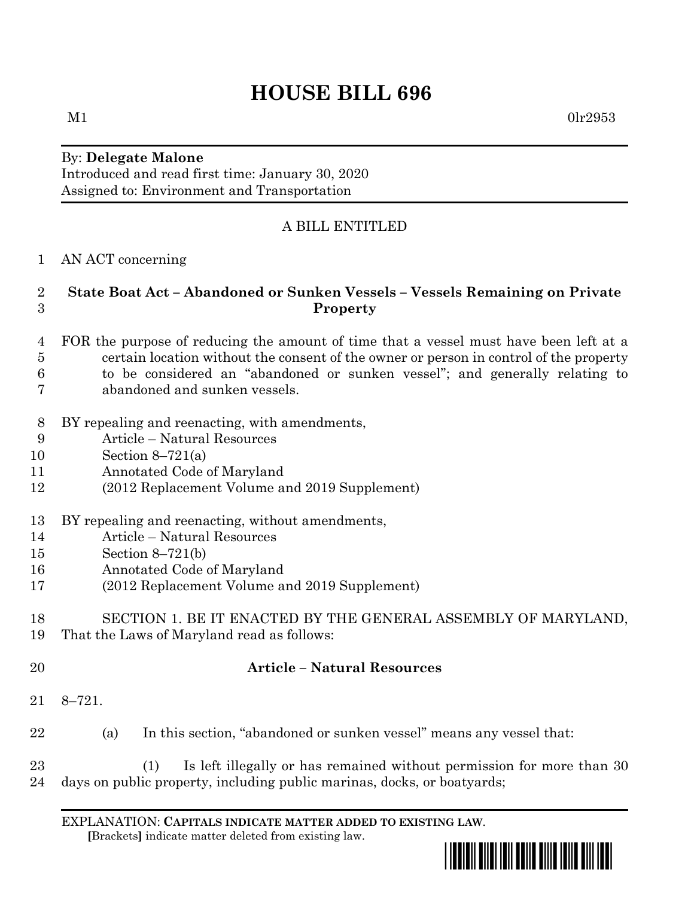# **HOUSE BILL 696**

 $M1$  0lr2953

#### By: **Delegate Malone** Introduced and read first time: January 30, 2020 Assigned to: Environment and Transportation

# A BILL ENTITLED

### AN ACT concerning

#### **State Boat Act – Abandoned or Sunken Vessels – Vessels Remaining on Private Property**

- FOR the purpose of reducing the amount of time that a vessel must have been left at a certain location without the consent of the owner or person in control of the property to be considered an "abandoned or sunken vessel"; and generally relating to
- abandoned and sunken vessels.
- BY repealing and reenacting, with amendments,
- Article Natural Resources
- Section 8–721(a)
- Annotated Code of Maryland
- (2012 Replacement Volume and 2019 Supplement)
- BY repealing and reenacting, without amendments,
- Article Natural Resources
- Section 8–721(b)
- Annotated Code of Maryland
- (2012 Replacement Volume and 2019 Supplement)

#### SECTION 1. BE IT ENACTED BY THE GENERAL ASSEMBLY OF MARYLAND, That the Laws of Maryland read as follows:

- 
- 

## **Article – Natural Resources**

- 8–721.
- (a) In this section, "abandoned or sunken vessel" means any vessel that:
- (1) Is left illegally or has remained without permission for more than 30 days on public property, including public marinas, docks, or boatyards;

EXPLANATION: **CAPITALS INDICATE MATTER ADDED TO EXISTING LAW**.  **[**Brackets**]** indicate matter deleted from existing law.